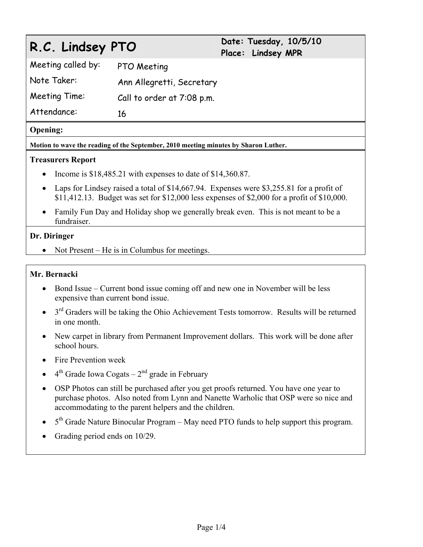# **R.C. Lindsey PTO Date: Tuesday, 10/5/10**

**Place: Lindsey MPR** 

Meeting called by: PTO Meeting

Note Taker: Ann Allegretti, Secretary

Meeting Time: Call to order at 7:08 p.m.

Attendance: 16

## **Opening:**

**Motion to wave the reading of the September, 2010 meeting minutes by Sharon Luther.** 

# **Treasurers Report**

- Income is  $$18,485.21$  with expenses to date of  $$14,360.87$ .
- Laps for Lindsey raised a total of \$14,667.94. Expenses were \$3,255.81 for a profit of \$11,412.13. Budget was set for \$12,000 less expenses of \$2,000 for a profit of \$10,000.
- Family Fun Day and Holiday shop we generally break even. This is not meant to be a fundraiser.

## **Dr. Diringer**

• Not Present – He is in Columbus for meetings.

# **Mr. Bernacki**

- Bond Issue Current bond issue coming off and new one in November will be less expensive than current bond issue.
- $\bullet$  3<sup>rd</sup> Graders will be taking the Ohio Achievement Tests tomorrow. Results will be returned in one month.
- New carpet in library from Permanent Improvement dollars. This work will be done after school hours.
- Fire Prevention week
- $\bullet$  4<sup>th</sup> Grade Iowa Cogats 2<sup>nd</sup> grade in February
- OSP Photos can still be purchased after you get proofs returned. You have one year to purchase photos. Also noted from Lynn and Nanette Warholic that OSP were so nice and accommodating to the parent helpers and the children.
- $\bullet$  5<sup>th</sup> Grade Nature Binocular Program May need PTO funds to help support this program.
- Grading period ends on 10/29.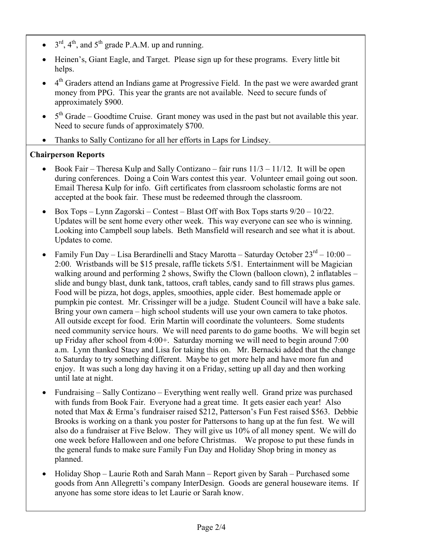- $\bullet$  3<sup>rd</sup>, 4<sup>th</sup>, and 5<sup>th</sup> grade P.A.M. up and running.
- Heinen's, Giant Eagle, and Target. Please sign up for these programs. Every little bit helps.
- 4<sup>th</sup> Graders attend an Indians game at Progressive Field. In the past we were awarded grant money from PPG. This year the grants are not available. Need to secure funds of approximately \$900.
- $\bullet$  5<sup>th</sup> Grade Goodtime Cruise. Grant money was used in the past but not available this year. Need to secure funds of approximately \$700.
- Thanks to Sally Contizano for all her efforts in Laps for Lindsey.

# **Chairperson Reports**

- Book Fair Theresa Kulp and Sally Contizano fair runs  $11/3 11/12$ . It will be open during conferences. Doing a Coin Wars contest this year. Volunteer email going out soon. Email Theresa Kulp for info. Gift certificates from classroom scholastic forms are not accepted at the book fair. These must be redeemed through the classroom.
- Box Tops Lynn Zagorski Contest Blast Off with Box Tops starts  $9/20 10/22$ . Updates will be sent home every other week. This way everyone can see who is winning. Looking into Campbell soup labels. Beth Mansfield will research and see what it is about. Updates to come.
- Family Fun Day Lisa Berardinelli and Stacy Marotta Saturday October  $23^{rd}$  10:00 2:00. Wristbands will be \$15 presale, raffle tickets 5/\$1. Entertainment will be Magician walking around and performing 2 shows, Swifty the Clown (balloon clown), 2 inflatables – slide and bungy blast, dunk tank, tattoos, craft tables, candy sand to fill straws plus games. Food will be pizza, hot dogs, apples, smoothies, apple cider. Best homemade apple or pumpkin pie contest. Mr. Crissinger will be a judge. Student Council will have a bake sale. Bring your own camera – high school students will use your own camera to take photos. All outside except for food. Erin Martin will coordinate the volunteers. Some students need community service hours. We will need parents to do game booths. We will begin set up Friday after school from 4:00+. Saturday morning we will need to begin around 7:00 a.m. Lynn thanked Stacy and Lisa for taking this on. Mr. Bernacki added that the change to Saturday to try something different. Maybe to get more help and have more fun and enjoy. It was such a long day having it on a Friday, setting up all day and then working until late at night.
- Fundraising Sally Contizano Everything went really well. Grand prize was purchased with funds from Book Fair. Everyone had a great time. It gets easier each year! Also noted that Max & Erma's fundraiser raised \$212, Patterson's Fun Fest raised \$563. Debbie Brooks is working on a thank you poster for Pattersons to hang up at the fun fest. We will also do a fundraiser at Five Below. They will give us 10% of all money spent. We will do one week before Halloween and one before Christmas. We propose to put these funds in the general funds to make sure Family Fun Day and Holiday Shop bring in money as planned.
- Holiday Shop Laurie Roth and Sarah Mann Report given by Sarah Purchased some goods from Ann Allegretti's company InterDesign. Goods are general houseware items. If anyone has some store ideas to let Laurie or Sarah know.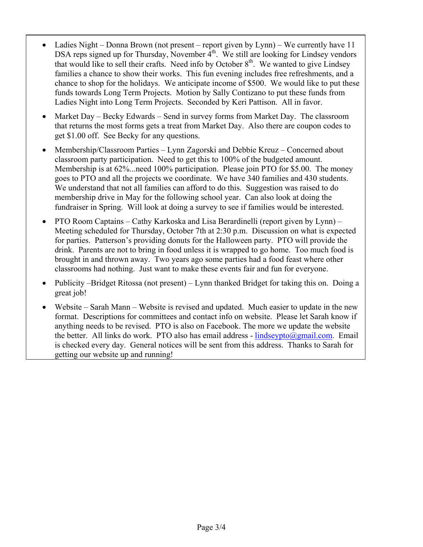- Ladies Night Donna Brown (not present report given by Lynn) We currently have 11 DSA reps signed up for Thursday, November  $4<sup>th</sup>$ . We still are looking for Lindsey vendors that would like to sell their crafts. Need info by October 8<sup>th</sup>. We wanted to give Lindsey families a chance to show their works. This fun evening includes free refreshments, and a chance to shop for the holidays. We anticipate income of \$500. We would like to put these funds towards Long Term Projects. Motion by Sally Contizano to put these funds from Ladies Night into Long Term Projects. Seconded by Keri Pattison. All in favor.
- Market Day Becky Edwards Send in survey forms from Market Day. The classroom that returns the most forms gets a treat from Market Day. Also there are coupon codes to get \$1.00 off. See Becky for any questions.
- Membership/Classroom Parties Lynn Zagorski and Debbie Kreuz Concerned about classroom party participation. Need to get this to 100% of the budgeted amount. Membership is at 62%...need 100% participation. Please join PTO for \$5.00. The money goes to PTO and all the projects we coordinate. We have 340 families and 430 students. We understand that not all families can afford to do this. Suggestion was raised to do membership drive in May for the following school year. Can also look at doing the fundraiser in Spring. Will look at doing a survey to see if families would be interested.
- PTO Room Captains Cathy Karkoska and Lisa Berardinelli (report given by Lynn) Meeting scheduled for Thursday, October 7th at 2:30 p.m. Discussion on what is expected for parties. Patterson's providing donuts for the Halloween party. PTO will provide the drink. Parents are not to bring in food unless it is wrapped to go home. Too much food is brought in and thrown away. Two years ago some parties had a food feast where other classrooms had nothing. Just want to make these events fair and fun for everyone.
- Publicity –Bridget Ritossa (not present) Lynn thanked Bridget for taking this on. Doing a great job!
- Website Sarah Mann Website is revised and updated. Much easier to update in the new format. Descriptions for committees and contact info on website. Please let Sarah know if anything needs to be revised. PTO is also on Facebook. The more we update the website the better. All links do work. PTO also has email address -  $\frac{\text{indseypto}(a)$ gmail.com. Email is checked every day. General notices will be sent from this address. Thanks to Sarah for getting our website up and running!